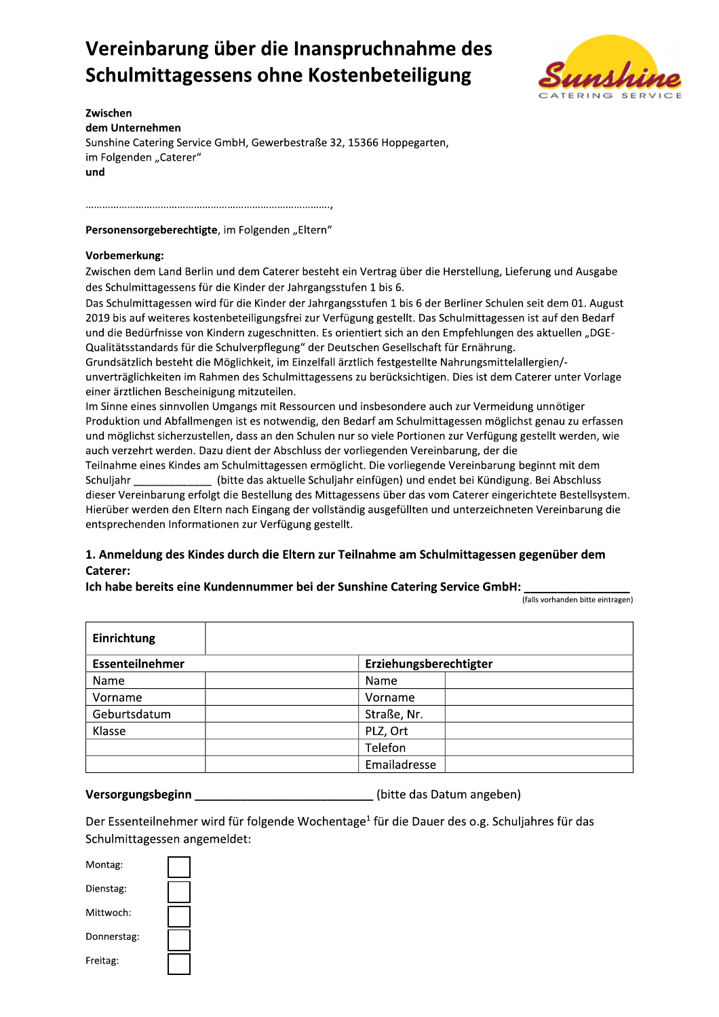# Vereinbarung über die Inanspruchnahme des Schulmittagessens ohne Kostenbeteiligung



Zwischen dem Unternehmen Sunshine Catering Service GmbH, Gewerbestraße 32, 15366 Hoppegarten, im Folgenden "Caterer" und

Personensorgeberechtigte, im Folgenden "Eltern"

#### Vorbemerkung:

Zwischen dem Land Berlin und dem Caterer besteht ein Vertrag über die Herstellung, Lieferung und Ausgabe des Schulmittagessens für die Kinder der Jahrgangsstufen 1 bis 6.

Das Schulmittagessen wird für die Kinder der Jahrgangsstufen 1 bis 6 der Berliner Schulen seit dem 01. August 2019 bis auf weiteres kostenbeteiligungsfrei zur Verfügung gestellt. Das Schulmittagessen ist auf den Bedarf und die Bedürfnisse von Kindern zugeschnitten. Es orientiert sich an den Empfehlungen des aktuellen "DGE-Qualitätsstandards für die Schulverpflegung" der Deutschen Gesellschaft für Ernährung.

Grundsätzlich besteht die Möglichkeit, im Einzelfall ärztlich festgestellte Nahrungsmittelallergien/unverträglichkeiten im Rahmen des Schulmittagessens zu berücksichtigen. Dies ist dem Caterer unter Vorlage einer ärztlichen Bescheinigung mitzuteilen.

Im Sinne eines sinnvollen Umgangs mit Ressourcen und insbesondere auch zur Vermeidung unnötiger Produktion und Abfallmengen ist es notwendig, den Bedarf am Schulmittagessen möglichst genau zu erfassen und möglichst sicherzustellen, dass an den Schulen nur so viele Portionen zur Verfügung gestellt werden, wie auch verzehrt werden. Dazu dient der Abschluss der vorliegenden Vereinbarung, der die

Teilnahme eines Kindes am Schulmittagessen ermöglicht. Die vorliegende Vereinbarung beginnt mit dem Schuljahr \_ (bitte das aktuelle Schuljahr einfügen) und endet bei Kündigung. Bei Abschluss dieser Vereinbarung erfolgt die Bestellung des Mittagessens über das vom Caterer eingerichtete Bestellsystem. Hierüber werden den Eltern nach Eingang der vollständig ausgefüllten und unterzeichneten Vereinbarung die entsprechenden Informationen zur Verfügung gestellt.

## 1. Anmeldung des Kindes durch die Eltern zur Teilnahme am Schulmittagessen gegenüber dem Caterer:

## Ich habe bereits eine Kundennummer bei der Sunshine Catering Service GmbH:

(falls vorhanden bitte eintragen)

| Einrichtung     |                        |  |
|-----------------|------------------------|--|
| Essenteilnehmer | Erziehungsberechtigter |  |
| Name            | Name                   |  |
| Vorname         | Vorname                |  |
| Geburtsdatum    | Straße, Nr.            |  |
| Klasse          | PLZ, Ort               |  |
|                 | Telefon                |  |
|                 | Emailadresse           |  |

Versorgungsbeginn \_\_\_\_\_\_\_\_\_\_\_\_\_\_\_\_\_\_\_\_\_\_\_\_\_\_(bitte das Datum angeben)

Der Essenteilnehmer wird für folgende Wochentage<sup>1</sup> für die Dauer des o.g. Schuljahres für das Schulmittagessen angemeldet:

| Montag:     |  |
|-------------|--|
| Dienstag:   |  |
| Mittwoch:   |  |
| Donnerstag: |  |
| Freitag:    |  |